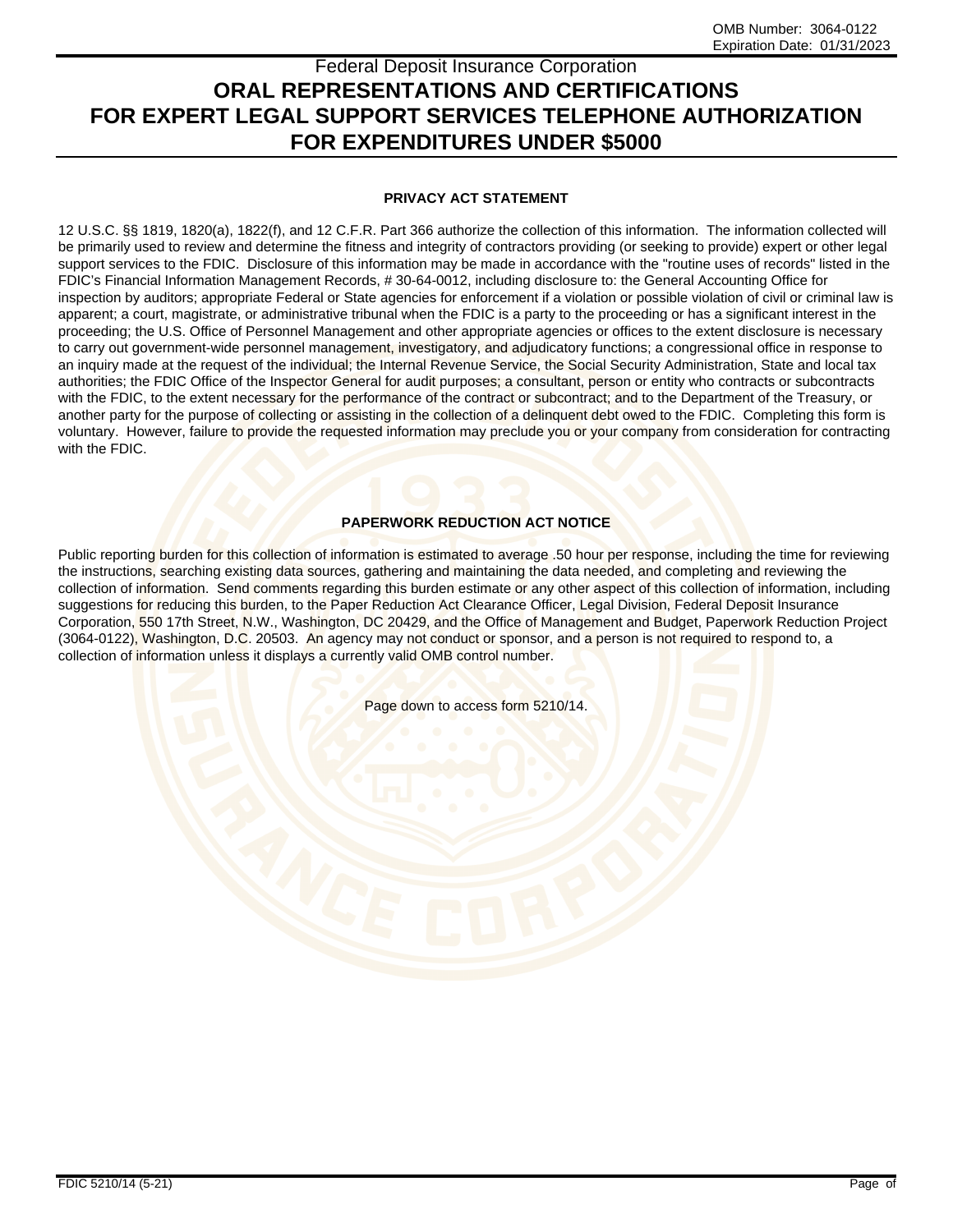# Federal Deposit Insurance Corporation **ORAL REPRESENTATIONS AND CERTIFICATIONS FOR EXPERT LEGAL SUPPORT SERVICES TELEPHONE AUTHORIZATION FOR EXPENDITURES UNDER \$5000**

## **PRIVACY ACT STATEMENT**

12 U.S.C. §§ 1819, 1820(a), 1822(f), and 12 C.F.R. Part 366 authorize the collection of this information. The information collected will be primarily used to review and determine the fitness and integrity of contractors providing (or seeking to provide) expert or other legal support services to the FDIC. Disclosure of this information may be made in accordance with the "routine uses of records" listed in the FDIC's Financial Information Management Records, # 30-64-0012, including disclosure to: the General Accounting Office for inspection by auditors; appropriate Federal or State agencies for enforcement if a violation or possible violation of civil or criminal law is apparent; a court, magistrate, or administrative tribunal when the FDIC is a party to the proceeding or has a significant interest in the proceeding; the U.S. Office of Personnel Management and other appropriate agencies or offices to the extent disclosure is necessary to carry out government-wide personnel management, investigatory, and adjudicatory functions; a congressional office in response to an inquiry made at the request of the individual; the Internal Revenue Service, the Social Security Administration, State and local tax authorities; the FDIC Office of the Inspector General for audit purposes; a consultant, person or entity who contracts or subcontracts with the FDIC, to the extent necessary for the performance of the contract or subcontract; and to the Department of the Treasury, or another party for the purpose of collecting or assisting in the collection of a delinguent debt owed to the FDIC. Completing this form is voluntary. However, failure to provide the requested information may preclude you or your company from consideration for contracting with the FDIC.

## **PAPERWORK REDUCTION ACT NOTICE**

Public reporting burden for this collection of information is estimated to average .50 hour per response, including the time for reviewing the instructions, searching existing data sources, gathering and maintaining the data needed, and completing and reviewing the collection of information. Send comments regarding this burden estimate or any other aspect of this collection of information, including suggestions for reducing this burden, to the Paper Reduction Act Clearance Officer, Legal Division, Federal Deposit Insurance Corporation, 550 17th Street, N.W., Washington, DC 20429, and the Office of Management and Budget, Paperwork Reduction Project (3064-0122), Washington, D.C. 20503. An agency may not conduct or sponsor, and a person is not required to respond to, a collection of information unless it displays a currently valid OMB control number.

Page down to access form 5210/14.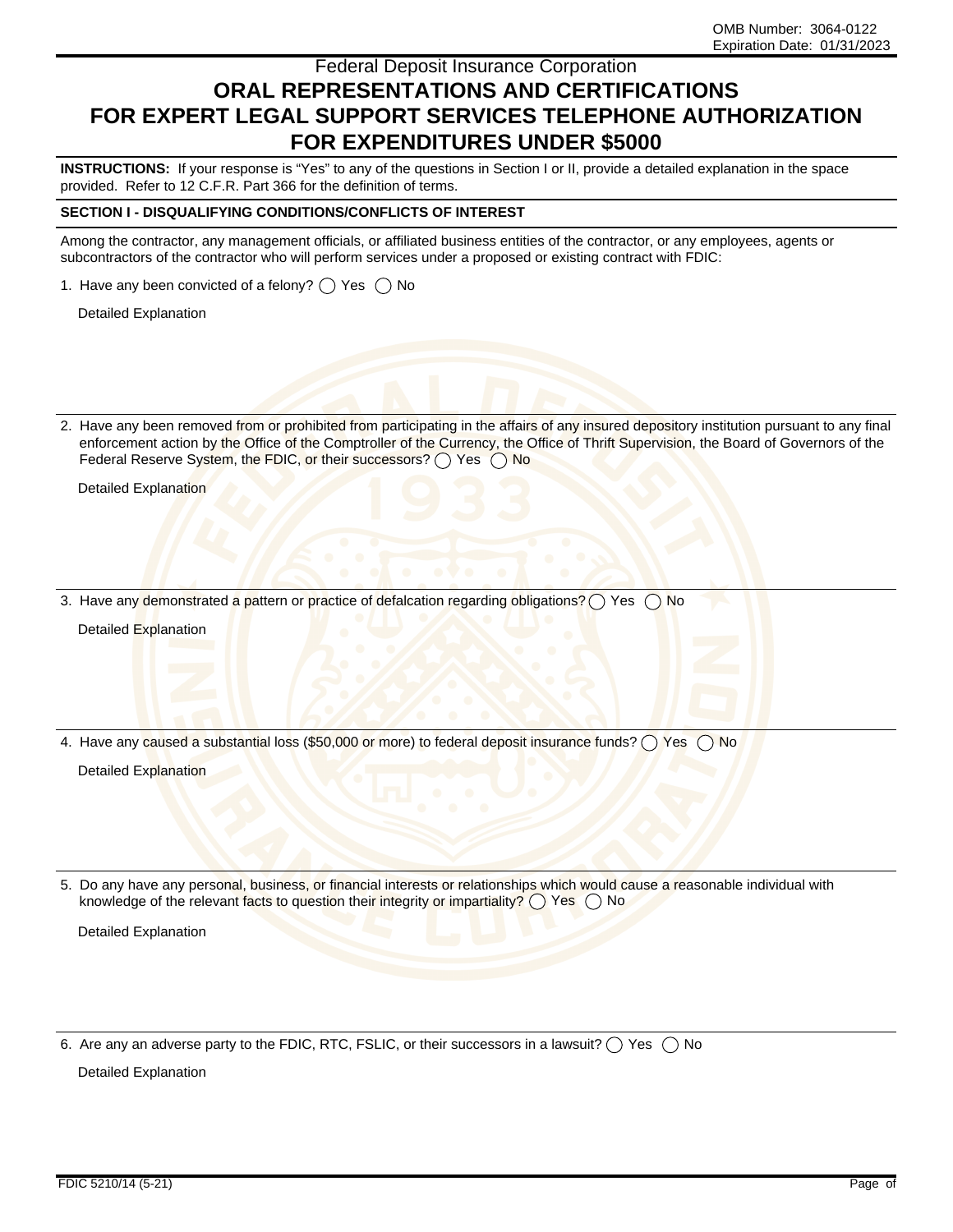# Federal Deposit Insurance Corporation **ORAL REPRESENTATIONS AND CERTIFICATIONS FOR EXPERT LEGAL SUPPORT SERVICES TELEPHONE AUTHORIZATION FOR EXPENDITURES UNDER \$5000**

**INSTRUCTIONS:** If your response is "Yes" to any of the questions in Section I or II, provide a detailed explanation in the space provided. Refer to 12 C.F.R. Part 366 for the definition of terms.

#### **SECTION I - DISQUALIFYING CONDITIONS/CONFLICTS OF INTEREST**

Among the contractor, any management officials, or affiliated business entities of the contractor, or any employees, agents or subcontractors of the contractor who will perform services under a proposed or existing contract with FDIC:

1. Have any been convicted of a felony?  $\bigcirc$  Yes  $\bigcirc$  No

Detailed Explanation

2. Have any been removed from or prohibited from participating in the affairs of any insured depository institution pursuant to any final enforcement action by the Office of the Comptroller of the Currency, the Office of Thrift Supervision, the Board of Governors of the Federal Reserve System, the FDIC, or their successors?  $\bigcap$  Yes  $\bigcap$  No

Detailed Explanation

3. Have any demonstrated a pattern or practice of defalcation regarding obligations?  $\bigcap$  Yes  $\bigcap$  No

Detailed Explanation

4. Have any caused a substantial loss (\$50,000 or more) to federal deposit insurance funds?  $\bigcirc$  Yes  $\bigcirc$  No

Detailed Explanation

5. Do any have any personal, business, or financial interests or relationships which would cause a reasonable individual with knowledge of the relevant facts to question their integrity or impartiality? () Yes () No

Detailed Explanation

6. Are any an adverse party to the FDIC, RTC, FSLIC, or their successors in a lawsuit?  $\bigcirc$  Yes  $\bigcirc$  No

Detailed Explanation